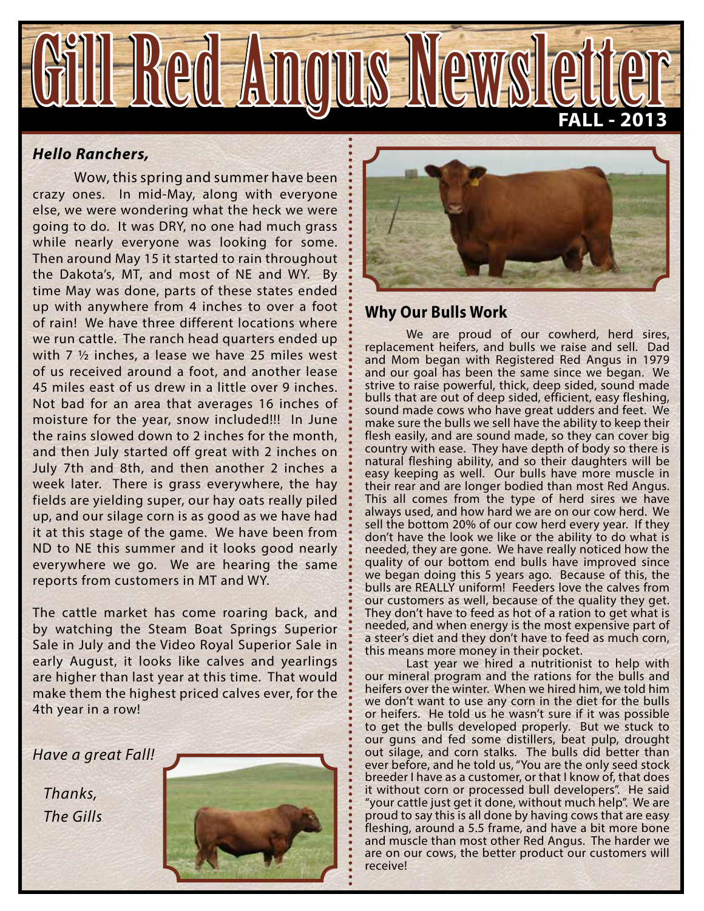

#### *Hello Ranchers,*

Wow, this spring and summer have been crazy ones. In mid-May, along with everyone else, we were wondering what the heck we were going to do. It was DRY, no one had much grass while nearly everyone was looking for some. Then around May 15 it started to rain throughout the Dakota's, MT, and most of NE and WY. By time May was done, parts of these states ended up with anywhere from 4 inches to over a foot of rain! We have three different locations where we run cattle. The ranch head quarters ended up with 7 ½ inches, a lease we have 25 miles west of us received around a foot, and another lease 45 miles east of us drew in a little over 9 inches. Not bad for an area that averages 16 inches of moisture for the year, snow included!!! In June the rains slowed down to 2 inches for the month, and then July started off great with 2 inches on July 7th and 8th, and then another 2 inches a week later. There is grass everywhere, the hay fields are yielding super, our hay oats really piled up, and our silage corn is as good as we have had it at this stage of the game. We have been from ND to NE this summer and it looks good nearly everywhere we go. We are hearing the same reports from customers in MT and WY.

The cattle market has come roaring back, and by watching the Steam Boat Springs Superior Sale in July and the Video Royal Superior Sale in early August, it looks like calves and yearlings are higher than last year at this time. That would make them the highest priced calves ever, for the 4th year in a row!

*Have a great Fall!*

 *Thanks, The Gills*





### **Why Our Bulls Work**

We are proud of our cowherd, herd sires, replacement heifers, and bulls we raise and sell. Dad and Mom began with Registered Red Angus in 1979 and our goal has been the same since we began. We strive to raise powerful, thick, deep sided, sound made bulls that are out of deep sided, efficient, easy fleshing, sound made cows who have great udders and feet. We make sure the bulls we sell have the ability to keep their flesh easily, and are sound made, so they can cover big country with ease. They have depth of body so there is natural fleshing ability, and so their daughters will be easy keeping as well. Our bulls have more muscle in their rear and are longer bodied than most Red Angus. This all comes from the type of herd sires we have always used, and how hard we are on our cow herd. We sell the bottom 20% of our cow herd every year. If they don't have the look we like or the ability to do what is needed, they are gone. We have really noticed how the quality of our bottom end bulls have improved since we began doing this 5 years ago. Because of this, the bulls are REALLY uniform! Feeders love the calves from our customers as well, because of the quality they get. They don't have to feed as hot of a ration to get what is needed, and when energy is the most expensive part of a steer's diet and they don't have to feed as much corn, this means more money in their pocket.

Last year we hired a nutritionist to help with our mineral program and the rations for the bulls and heifers over the winter. When we hired him, we told him we don't want to use any corn in the diet for the bulls or heifers. He told us he wasn't sure if it was possible to get the bulls developed properly. But we stuck to our guns and fed some distillers, beat pulp, drought out silage, and corn stalks. The bulls did better than ever before, and he told us, "You are the only seed stock breeder I have as a customer, or that I know of, that does it without corn or processed bull developers". He said "your cattle just get it done, without much help". We are proud to say this is all done by having cows that are easy fleshing, around a 5.5 frame, and have a bit more bone and muscle than most other Red Angus. The harder we are on our cows, the better product our customers will receive!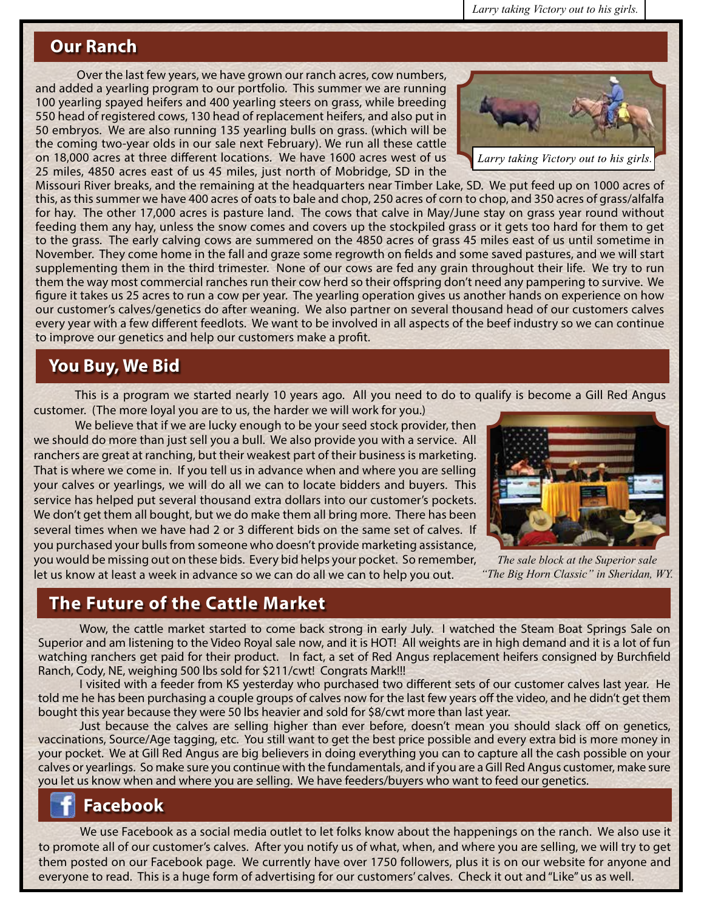*Larry taking Victory out to his girls.*

### **Our Ranch**

Over the last few years, we have grown our ranch acres, cow numbers, and added a yearling program to our portfolio. This summer we are running 100 yearling spayed heifers and 400 yearling steers on grass, while breeding 550 head of registered cows, 130 head of replacement heifers, and also put in 50 embryos. We are also running 135 yearling bulls on grass. (which will be the coming two-year olds in our sale next February). We run all these cattle on 18,000 acres at three different locations. We have 1600 acres west of us 25 miles, 4850 acres east of us 45 miles, just north of Mobridge, SD in the



Missouri River breaks, and the remaining at the headquarters near Timber Lake, SD. We put feed up on 1000 acres of this, as this summer we have 400 acres of oats to bale and chop, 250 acres of corn to chop, and 350 acres of grass/alfalfa for hay. The other 17,000 acres is pasture land. The cows that calve in May/June stay on grass year round without feeding them any hay, unless the snow comes and covers up the stockpiled grass or it gets too hard for them to get to the grass. The early calving cows are summered on the 4850 acres of grass 45 miles east of us until sometime in November. They come home in the fall and graze some regrowth on fields and some saved pastures, and we will start supplementing them in the third trimester. None of our cows are fed any grain throughout their life. We try to run them the way most commercial ranches run their cow herd so their offspring don't need any pampering to survive. We figure it takes us 25 acres to run a cow per year. The yearling operation gives us another hands on experience on how our customer's calves/genetics do after weaning. We also partner on several thousand head of our customers calves every year with a few different feedlots. We want to be involved in all aspects of the beef industry so we can continue to improve our genetics and help our customers make a profit.

# **You Buy, We Bid**

This is a program we started nearly 10 years ago. All you need to do to qualify is become a Gill Red Angus customer. (The more loyal you are to us, the harder we will work for you.)

We believe that if we are lucky enough to be your seed stock provider, then we should do more than just sell you a bull. We also provide you with a service. All ranchers are great at ranching, but their weakest part of their business is marketing. That is where we come in. If you tell us in advance when and where you are selling your calves or yearlings, we will do all we can to locate bidders and buyers. This service has helped put several thousand extra dollars into our customer's pockets. We don't get them all bought, but we do make them all bring more. There has been several times when we have had 2 or 3 different bids on the same set of calves. If you purchased your bulls from someone who doesn't provide marketing assistance, you would be missing out on these bids. Every bid helps your pocket. So remember, let us know at least a week in advance so we can do all we can to help you out.



*The sale block at the Superior sale "The Big Horn Classic" in Sheridan, WY.*

# **The Future of the Cattle Market**

Wow, the cattle market started to come back strong in early July. I watched the Steam Boat Springs Sale on Superior and am listening to the Video Royal sale now, and it is HOT! All weights are in high demand and it is a lot of fun watching ranchers get paid for their product. In fact, a set of Red Angus replacement heifers consigned by Burchfield Ranch, Cody, NE, weighing 500 lbs sold for \$211/cwt! Congrats Mark!!!

I visited with a feeder from KS yesterday who purchased two different sets of our customer calves last year. He told me he has been purchasing a couple groups of calves now for the last few years off the video, and he didn't get them bought this year because they were 50 lbs heavier and sold for \$8/cwt more than last year.

Just because the calves are selling higher than ever before, doesn't mean you should slack off on genetics, vaccinations, Source/Age tagging, etc. You still want to get the best price possible and every extra bid is more money in your pocket. We at Gill Red Angus are big believers in doing everything you can to capture all the cash possible on your calves or yearlings. So make sure you continue with the fundamentals, and if you are a Gill Red Angus customer, make sure you let us know when and where you are selling. We have feeders/buyers who want to feed our genetics.

# **Facebook**

We use Facebook as a social media outlet to let folks know about the happenings on the ranch. We also use it to promote all of our customer's calves. After you notify us of what, when, and where you are selling, we will try to get them posted on our Facebook page. We currently have over 1750 followers, plus it is on our website for anyone and everyone to read. This is a huge form of advertising for our customers' calves. Check it out and "Like" us as well.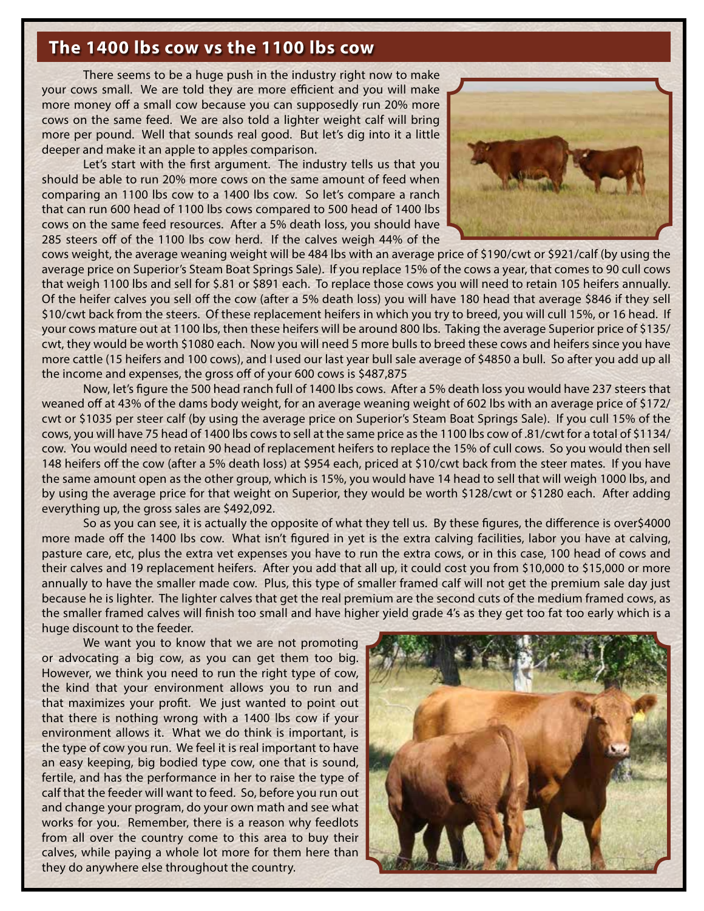# **The 1400 lbs cow vs the 1100 lbs cow**

There seems to be a huge push in the industry right now to make your cows small. We are told they are more efficient and you will make more money off a small cow because you can supposedly run 20% more cows on the same feed. We are also told a lighter weight calf will bring more per pound. Well that sounds real good. But let's dig into it a little deeper and make it an apple to apples comparison.

Let's start with the first argument. The industry tells us that you should be able to run 20% more cows on the same amount of feed when comparing an 1100 lbs cow to a 1400 lbs cow. So let's compare a ranch that can run 600 head of 1100 lbs cows compared to 500 head of 1400 lbs cows on the same feed resources. After a 5% death loss, you should have 285 steers off of the 1100 lbs cow herd. If the calves weigh 44% of the



cows weight, the average weaning weight will be 484 lbs with an average price of \$190/cwt or \$921/calf (by using the average price on Superior's Steam Boat Springs Sale). If you replace 15% of the cows a year, that comes to 90 cull cows that weigh 1100 lbs and sell for \$.81 or \$891 each. To replace those cows you will need to retain 105 heifers annually. Of the heifer calves you sell off the cow (after a 5% death loss) you will have 180 head that average \$846 if they sell \$10/cwt back from the steers. Of these replacement heifers in which you try to breed, you will cull 15%, or 16 head. If your cows mature out at 1100 lbs, then these heifers will be around 800 lbs. Taking the average Superior price of \$135/ cwt, they would be worth \$1080 each. Now you will need 5 more bulls to breed these cows and heifers since you have more cattle (15 heifers and 100 cows), and I used our last year bull sale average of \$4850 a bull. So after you add up all the income and expenses, the gross off of your 600 cows is \$487,875

Now, let's figure the 500 head ranch full of 1400 lbs cows. After a 5% death loss you would have 237 steers that weaned off at 43% of the dams body weight, for an average weaning weight of 602 lbs with an average price of \$172/ cwt or \$1035 per steer calf (by using the average price on Superior's Steam Boat Springs Sale). If you cull 15% of the cows, you will have 75 head of 1400 lbs cows to sell at the same price as the 1100 lbs cow of .81/cwt for a total of \$1134/ cow. You would need to retain 90 head of replacement heifers to replace the 15% of cull cows. So you would then sell 148 heifers off the cow (after a 5% death loss) at \$954 each, priced at \$10/cwt back from the steer mates. If you have the same amount open as the other group, which is 15%, you would have 14 head to sell that will weigh 1000 lbs, and by using the average price for that weight on Superior, they would be worth \$128/cwt or \$1280 each. After adding everything up, the gross sales are \$492,092.

So as you can see, it is actually the opposite of what they tell us. By these figures, the difference is over\$4000 more made off the 1400 lbs cow. What isn't figured in yet is the extra calving facilities, labor you have at calving, pasture care, etc, plus the extra vet expenses you have to run the extra cows, or in this case, 100 head of cows and their calves and 19 replacement heifers. After you add that all up, it could cost you from \$10,000 to \$15,000 or more annually to have the smaller made cow. Plus, this type of smaller framed calf will not get the premium sale day just because he is lighter. The lighter calves that get the real premium are the second cuts of the medium framed cows, as the smaller framed calves will finish too small and have higher yield grade 4's as they get too fat too early which is a huge discount to the feeder.

We want you to know that we are not promoting or advocating a big cow, as you can get them too big. However, we think you need to run the right type of cow, the kind that your environment allows you to run and that maximizes your profit. We just wanted to point out that there is nothing wrong with a 1400 lbs cow if your environment allows it. What we do think is important, is the type of cow you run. We feel it is real important to have an easy keeping, big bodied type cow, one that is sound, fertile, and has the performance in her to raise the type of calf that the feeder will want to feed. So, before you run out and change your program, do your own math and see what works for you. Remember, there is a reason why feedlots from all over the country come to this area to buy their calves, while paying a whole lot more for them here than they do anywhere else throughout the country.

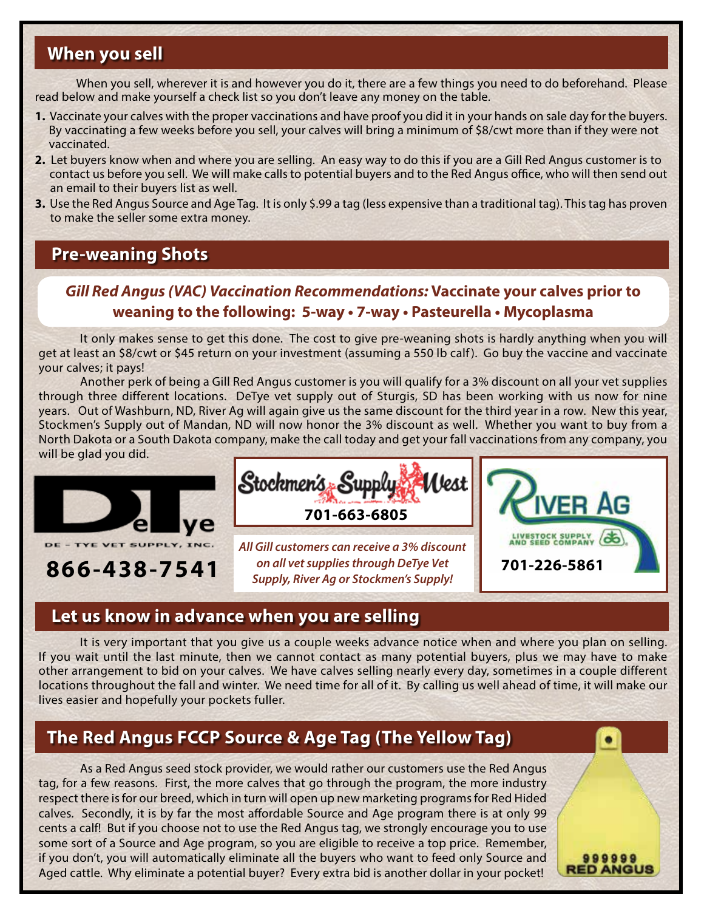# **When you sell**

When you sell, wherever it is and however you do it, there are a few things you need to do beforehand. Please read below and make yourself a check list so you don't leave any money on the table.

- **1.** Vaccinate your calves with the proper vaccinations and have proof you did it in your hands on sale day for the buyers. By vaccinating a few weeks before you sell, your calves will bring a minimum of \$8/cwt more than if they were not vaccinated.
- **2.** Let buyers know when and where you are selling. An easy way to do this if you are a Gill Red Angus customer is to contact us before you sell. We will make calls to potential buyers and to the Red Angus office, who will then send out an email to their buyers list as well.
- **3.** Use the Red Angus Source and Age Tag. It is only \$.99 a tag (less expensive than a traditional tag). This tag has proven to make the seller some extra money.

# **Pre-weaning Shots**

# *Gill Red Angus (VAC) Vaccination Recommendations:* **Vaccinate your calves prior to weaning to the following: 5-way • 7-way • Pasteurella • Mycoplasma**

It only makes sense to get this done. The cost to give pre-weaning shots is hardly anything when you will get at least an \$8/cwt or \$45 return on your investment (assuming a 550 lb calf ). Go buy the vaccine and vaccinate your calves; it pays!

Another perk of being a Gill Red Angus customer is you will qualify for a 3% discount on all your vet supplies through three different locations. DeTye vet supply out of Sturgis, SD has been working with us now for nine years. Out of Washburn, ND, River Ag will again give us the same discount for the third year in a row. New this year, Stockmen's Supply out of Mandan, ND will now honor the 3% discount as well. Whether you want to buy from a North Dakota or a South Dakota company, make the call today and get your fall vaccinations from any company, you will be glad you did.





*All Gill customers can receive a 3% discount on all vet supplies through DeTye Vet Supply, River Ag or Stockmen's Supply!* **866-438-7541 701-226-5861**



999999 **RED ANGUS** 

# **Let us know in advance when you are selling**

It is very important that you give us a couple weeks advance notice when and where you plan on selling. If you wait until the last minute, then we cannot contact as many potential buyers, plus we may have to make other arrangement to bid on your calves. We have calves selling nearly every day, sometimes in a couple different locations throughout the fall and winter. We need time for all of it. By calling us well ahead of time, it will make our lives easier and hopefully your pockets fuller.

# **The Red Angus FCCP Source & Age Tag (The Yellow Tag)**

As a Red Angus seed stock provider, we would rather our customers use the Red Angus tag, for a few reasons. First, the more calves that go through the program, the more industry respect there is for our breed, which in turn will open up new marketing programs for Red Hided calves. Secondly, it is by far the most affordable Source and Age program there is at only 99 cents a calf! But if you choose not to use the Red Angus tag, we strongly encourage you to use some sort of a Source and Age program, so you are eligible to receive a top price. Remember, if you don't, you will automatically eliminate all the buyers who want to feed only Source and Aged cattle. Why eliminate a potential buyer? Every extra bid is another dollar in your pocket!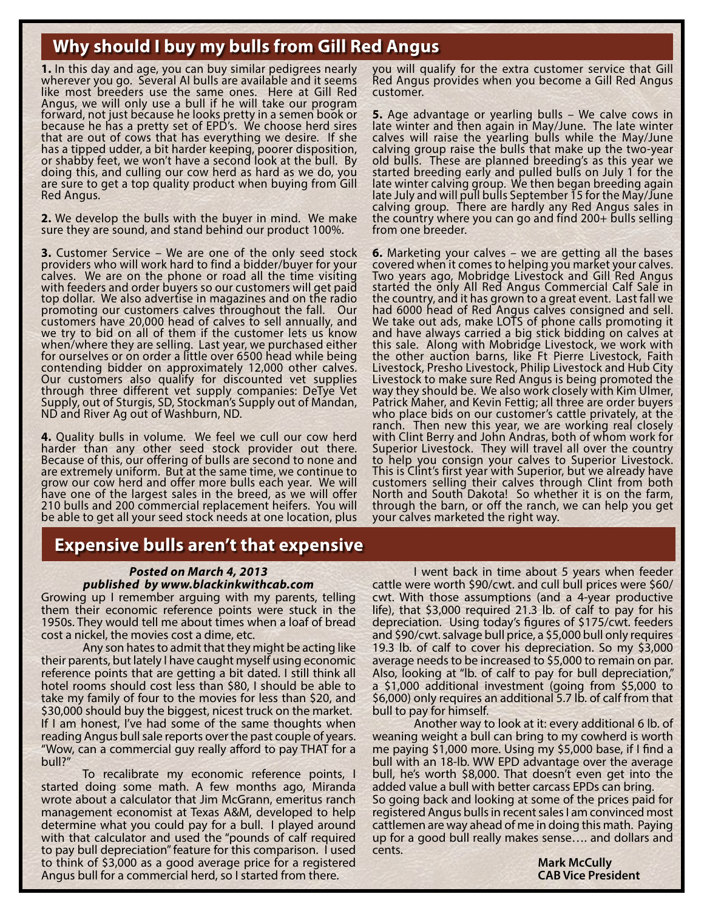# **Why should I buy my bulls from Gill Red Angus**

**1.** In this day and age, you can buy similar pedigrees nearly wherever you go. Several AI bulls are available and it seems like most breeders use the same ones. Here at Gill Red Angus, we will only use a bull if he will take our program forward, not just because he looks pretty in a semen book or because he has a pretty set of EPD's. We choose herd sires that are out of cows that has everything we desire. If she has a tipped udder, a bit harder keeping, poorer disposition, or shabby feet, we won't have a second look at the bull. By doing this, and culling our cow herd as hard as we do, you are sure to get a top quality product when buying from Gill Red Angus.

**2.** We develop the bulls with the buyer in mind. We make sure they are sound, and stand behind our product 100%.

**3.** Customer Service – We are one of the only seed stock providers who will work hard to find a bidder/buyer for your calves. We are on the phone or road all the time visiting with feeders and order buyers so our customers will get paid top dollar. We also advertise in magazines and on the radio promoting our customers calves throughout the fall. Our customers have 20,000 head of calves to sell annually, and we try to bid on all of them if the customer lets us know when/where they are selling. Last year, we purchased either for ourselves or on order a little over 6500 head while being contending bidder on approximately 12,000 other calves. Our customers also qualify for discounted vet supplies through three different vet supply companies: DeTye Vet Supply, out of Sturgis, SD, Stockman's Supply out of Mandan, ND and River Ag out of Washburn, ND.

**4.** Quality bulls in volume. We feel we cull our cow herd<br>harder than any other seed stock provider out there. Because of this, our offering of bulls are second to none and are extremely uniform. But at the same time, we continue to grow our cow herd and offer more bulls each year. We will have one of the largest sales in the breed, as we will offer 210 bulls and 200 commercial replacement heifers. You will be able to get all your seed stock needs at one location, plus

# **Expensive bulls aren't that expensive**

#### *Posted on March 4, 2013 published by www.blackinkwithcab.com*

Growing up I remember arguing with my parents, telling them their economic reference points were stuck in the 1950s. They would tell me about times when a loaf of bread cost a nickel, the movies cost a dime, etc.

Any son hates to admit that they might be acting like their parents, but lately I have caught myself using economic reference points that are getting a bit dated. I still think all hotel rooms should cost less than \$80, I should be able to take my family of four to the movies for less than \$20, and \$30,000 should buy the biggest, nicest truck on the market. If I am honest, I've had some of the same thoughts when reading Angus bull sale reports over the past couple of years. "Wow, can a commercial guy really afford to pay THAT for a bull?"

To recalibrate my economic reference points, I started doing some math. A few months ago, Miranda wrote about a calculator that Jim McGrann, emeritus ranch management economist at Texas A&M, developed to help determine what you could pay for a bull. I played around with that calculator and used the "pounds of calf required to pay bull depreciation" feature for this comparison. I used to think of \$3,000 as a good average price for a registered Angus bull for a commercial herd, so I started from there.

you will qualify for the extra customer service that Gill Red Angus provides when you become a Gill Red Angus customer.

**5.** Age advantage or yearling bulls – We calve cows in late winter and then again in May/June. The late winter calves will raise the yearling bulls while the May/June calving group raise the bulls that make up the two-year old bulls. These are planned breeding's as this year we started breeding early and pulled bulls on July 1 for the late winter calving group. We then began breeding again late July and will pull bulls September 15 for the May/June calving group. There are hardly any Red Angus sales in the country where you can go and find 200+ bulls selling from one breeder.

**6.** Marketing your calves – we are getting all the bases covered when it comes to helping you market your calves. Two years ago, Mobridge Livestock and Gill Red Angus started the only All Red Angus Commercial Calf Sale in the country, and it has grown to a great event. Last fall we had 6000 head of Red Angus calves consigned and sell. We take out ads, make LOTS of phone calls promoting it and have always carried a big stick bidding on calves at this sale. Along with Mobridge Livestock, we work with the other auction barns, like Ft Pierre Livestock, Faith Livestock, Presho Livestock, Philip Livestock and Hub City Livestock to make sure Red Angus is being promoted the way they should be. We also work closely with Kim Ulmer, Patrick Maher, and Kevin Fettig; all three are order buyers who place bids on our customer's cattle privately, at the ranch. Then new this year, we are working real closely with Clint Berry and John Andras, both of whom work for Superior Livestock. They will travel all over the country to help you consign your calves to Superior Livestock. This is Clint's first year with Superior, but we already have customers selling their calves through Clint from both North and South Dakota! So whether it is on the farm, through the barn, or off the ranch, we can help you get your calves marketed the right way.

I went back in time about 5 years when feeder cattle were worth \$90/cwt. and cull bull prices were \$60/ cwt. With those assumptions (and a 4-year productive life), that \$3,000 required 21.3 lb. of calf to pay for his depreciation. Using today's figures of \$175/cwt. feeders and \$90/cwt. salvage bull price, a \$5,000 bull only requires 19.3 lb. of calf to cover his depreciation. So my \$3,000 average needs to be increased to \$5,000 to remain on par. Also, looking at "lb. of calf to pay for bull depreciation," a \$1,000 additional investment (going from \$5,000 to \$6,000) only requires an additional 5.7 lb. of calf from that bull to pay for himself.

Another way to look at it: every additional 6 lb. of weaning weight a bull can bring to my cowherd is worth me paying \$1,000 more. Using my \$5,000 base, if I find a bull with an 18-lb. WW EPD advantage over the average bull, he's worth \$8,000. That doesn't even get into the added value a bull with better carcass EPDs can bring. So going back and looking at some of the prices paid for registered Angus bulls in recent sales I am convinced most cattlemen are way ahead of me in doing this math. Paying up for a good bull really makes sense…. and dollars and cents.

 **Mark McCully CAB Vice President**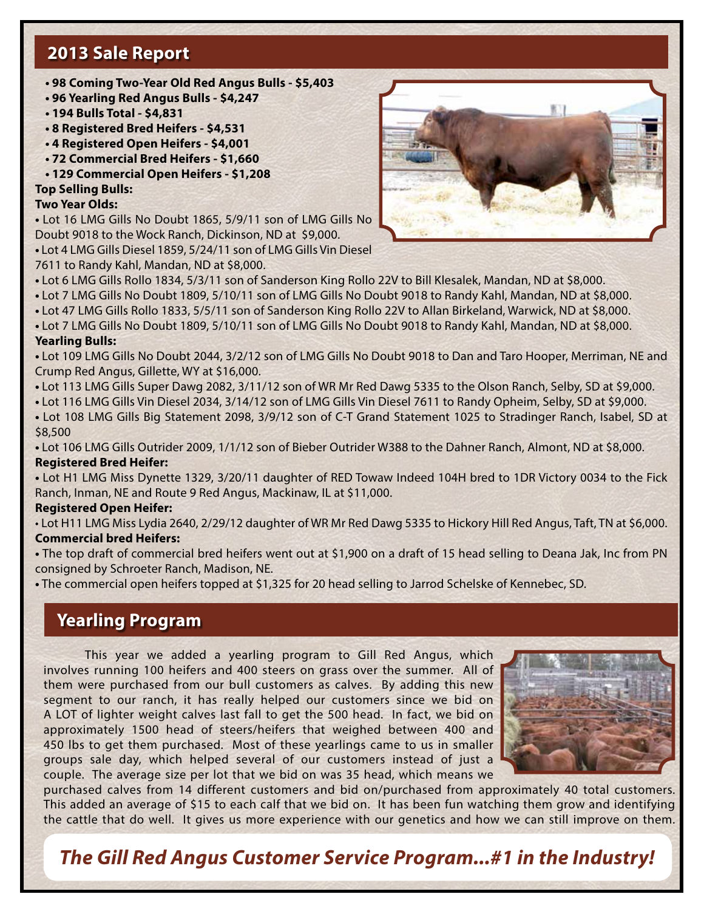# **2013 Sale Report**

- **98 Coming Two-Year Old Red Angus Bulls \$5,403**
- **96 Yearling Red Angus Bulls \$4,247**
- **194 Bulls Total \$4,831**
- **8 Registered Bred Heifers \$4,531**
- **4 Registered Open Heifers \$4,001**
- **72 Commercial Bred Heifers \$1,660**
- **129 Commercial Open Heifers \$1,208**

#### **Top Selling Bulls:**

#### **Two Year Olds:**

**•** Lot 16 LMG Gills No Doubt 1865, 5/9/11 son of LMG Gills No Doubt 9018 to the Wock Ranch, Dickinson, ND at \$9,000. **•** Lot 4 LMG Gills Diesel 1859, 5/24/11 son of LMG Gills Vin Diesel

7611 to Randy Kahl, Mandan, ND at \$8,000.



- Lot 6 LMG Gills Rollo 1834, 5/3/11 son of Sanderson King Rollo 22V to Bill Klesalek, Mandan, ND at \$8,000.
- Lot 7 LMG Gills No Doubt 1809, 5/10/11 son of LMG Gills No Doubt 9018 to Randy Kahl, Mandan, ND at \$8,000.

**•** Lot 47 LMG Gills Rollo 1833, 5/5/11 son of Sanderson King Rollo 22V to Allan Birkeland, Warwick, ND at \$8,000.

**•** Lot 7 LMG Gills No Doubt 1809, 5/10/11 son of LMG Gills No Doubt 9018 to Randy Kahl, Mandan, ND at \$8,000.

#### **Yearling Bulls:**

**•** Lot 109 LMG Gills No Doubt 2044, 3/2/12 son of LMG Gills No Doubt 9018 to Dan and Taro Hooper, Merriman, NE and Crump Red Angus, Gillette, WY at \$16,000.

**•** Lot 113 LMG Gills Super Dawg 2082, 3/11/12 son of WR Mr Red Dawg 5335 to the Olson Ranch, Selby, SD at \$9,000.

**•** Lot 116 LMG Gills Vin Diesel 2034, 3/14/12 son of LMG Gills Vin Diesel 7611 to Randy Opheim, Selby, SD at \$9,000.

**•** Lot 108 LMG Gills Big Statement 2098, 3/9/12 son of C-T Grand Statement 1025 to Stradinger Ranch, Isabel, SD at \$8,500

**•** Lot 106 LMG Gills Outrider 2009, 1/1/12 son of Bieber Outrider W388 to the Dahner Ranch, Almont, ND at \$8,000. **Registered Bred Heifer:**

**•** Lot H1 LMG Miss Dynette 1329, 3/20/11 daughter of RED Towaw Indeed 104H bred to 1DR Victory 0034 to the Fick Ranch, Inman, NE and Route 9 Red Angus, Mackinaw, IL at \$11,000.

#### **Registered Open Heifer:**

• Lot H11 LMG Miss Lydia 2640, 2/29/12 daughter of WR Mr Red Dawg 5335 to Hickory Hill Red Angus, Taft, TN at \$6,000. **Commercial bred Heifers:**

**•** The top draft of commercial bred heifers went out at \$1,900 on a draft of 15 head selling to Deana Jak, Inc from PN consigned by Schroeter Ranch, Madison, NE.

**•** The commercial open heifers topped at \$1,325 for 20 head selling to Jarrod Schelske of Kennebec, SD.

# **Yearling Program**

This year we added a yearling program to Gill Red Angus, which involves running 100 heifers and 400 steers on grass over the summer. All of them were purchased from our bull customers as calves. By adding this new segment to our ranch, it has really helped our customers since we bid on A LOT of lighter weight calves last fall to get the 500 head. In fact, we bid on approximately 1500 head of steers/heifers that weighed between 400 and 450 lbs to get them purchased. Most of these yearlings came to us in smaller groups sale day, which helped several of our customers instead of just a couple. The average size per lot that we bid on was 35 head, which means we



purchased calves from 14 different customers and bid on/purchased from approximately 40 total customers. This added an average of \$15 to each calf that we bid on. It has been fun watching them grow and identifying the cattle that do well. It gives us more experience with our genetics and how we can still improve on them.

*The Gill Red Angus Customer Service Program...#1 in the Industry!*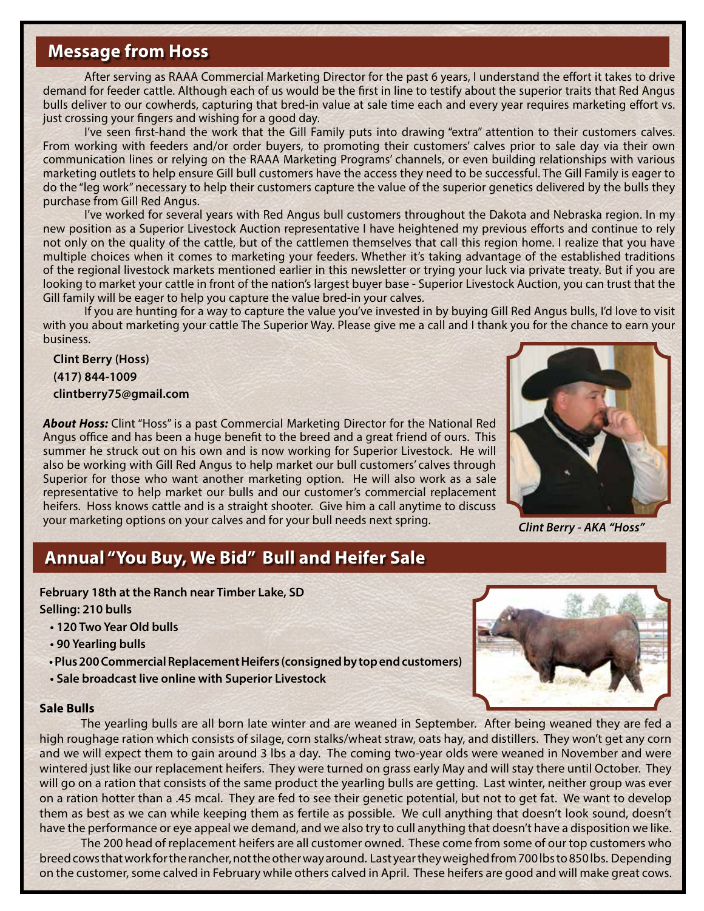# **Message from Hoss**

After serving as RAAA Commercial Marketing Director for the past 6 years, I understand the effort it takes to drive demand for feeder cattle. Although each of us would be the first in line to testify about the superior traits that Red Angus bulls deliver to our cowherds, capturing that bred-in value at sale time each and every year requires marketing effort vs. just crossing your fingers and wishing for a good day.

I've seen first-hand the work that the Gill Family puts into drawing "extra" attention to their customers calves. From working with feeders and/or order buyers, to promoting their customers' calves prior to sale day via their own communication lines or relying on the RAAA Marketing Programs' channels, or even building relationships with various marketing outlets to help ensure Gill bull customers have the access they need to be successful. The Gill Family is eager to do the "leg work" necessary to help their customers capture the value of the superior genetics delivered by the bulls they purchase from Gill Red Angus.

I've worked for several years with Red Angus bull customers throughout the Dakota and Nebraska region. In my new position as a Superior Livestock Auction representative I have heightened my previous efforts and continue to rely not only on the quality of the cattle, but of the cattlemen themselves that call this region home. I realize that you have multiple choices when it comes to marketing your feeders. Whether it's taking advantage of the established traditions of the regional livestock markets mentioned earlier in this newsletter or trying your luck via private treaty. But if you are looking to market your cattle in front of the nation's largest buyer base - Superior Livestock Auction, you can trust that the Gill family will be eager to help you capture the value bred-in your calves.

If you are hunting for a way to capture the value you've invested in by buying Gill Red Angus bulls, I'd love to visit with you about marketing your cattle The Superior Way. Please give me a call and I thank you for the chance to earn your business.

### **Clint Berry (Hoss) (417) 844-1009 clintberry75@gmail.com**

*About Hoss:* Clint "Hoss" is a past Commercial Marketing Director for the National Red Angus office and has been a huge benefit to the breed and a great friend of ours. This summer he struck out on his own and is now working for Superior Livestock. He will also be working with Gill Red Angus to help market our bull customers' calves through Superior for those who want another marketing option. He will also work as a sale representative to help market our bulls and our customer's commercial replacement heifers. Hoss knows cattle and is a straight shooter. Give him a call anytime to discuss your marketing options on your calves and for your bull needs next spring.



*Clint Berry - AKA "Hoss"* 

# **Annual "You Buy, We Bid" Bull and Heifer Sale**

**February 18th at the Ranch near Timber Lake, SD Selling: 210 bulls**

- **120 Two Year Old bulls**
- **90 Yearling bulls**
- **Plus 200 Commercial Replacement Heifers (consigned by top end customers)**
- **Sale broadcast live online with Superior Livestock**

#### **Sale Bulls**



The yearling bulls are all born late winter and are weaned in September. After being weaned they are fed a high roughage ration which consists of silage, corn stalks/wheat straw, oats hay, and distillers. They won't get any corn and we will expect them to gain around 3 lbs a day. The coming two-year olds were weaned in November and were wintered just like our replacement heifers. They were turned on grass early May and will stay there until October. They will go on a ration that consists of the same product the yearling bulls are getting. Last winter, neither group was ever on a ration hotter than a .45 mcal. They are fed to see their genetic potential, but not to get fat. We want to develop them as best as we can while keeping them as fertile as possible. We cull anything that doesn't look sound, doesn't have the performance or eye appeal we demand, and we also try to cull anything that doesn't have a disposition we like.

The 200 head of replacement heifers are all customer owned. These come from some of our top customers who breed cows that work for the rancher, not the other way around. Last year they weighed from 700 lbs to 850 lbs. Depending on the customer, some calved in February while others calved in April. These heifers are good and will make great cows.